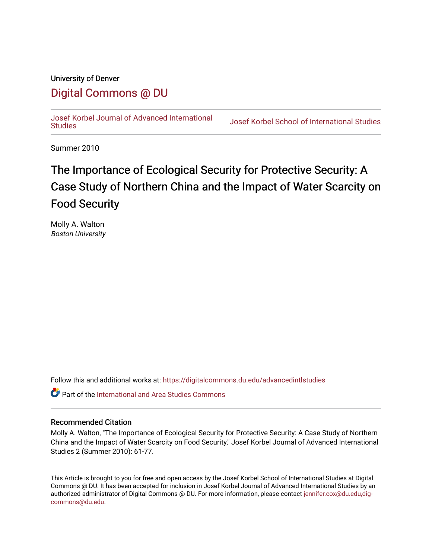### University of Denver

## [Digital Commons @ DU](https://digitalcommons.du.edu/)

[Josef Korbel Journal of Advanced International](https://digitalcommons.du.edu/advancedintlstudies) 

**Josef Korbel School of International Studies** 

Summer 2010

# The Importance of Ecological Security for Protective Security: A Case Study of Northern China and the Impact of Water Scarcity on Food Security

Molly A. Walton Boston University

Follow this and additional works at: [https://digitalcommons.du.edu/advancedintlstudies](https://digitalcommons.du.edu/advancedintlstudies?utm_source=digitalcommons.du.edu%2Fadvancedintlstudies%2F18&utm_medium=PDF&utm_campaign=PDFCoverPages)

**C** Part of the International and Area Studies Commons

#### Recommended Citation

Molly A. Walton, "The Importance of Ecological Security for Protective Security: A Case Study of Northern China and the Impact of Water Scarcity on Food Security," Josef Korbel Journal of Advanced International Studies 2 (Summer 2010): 61-77.

This Article is brought to you for free and open access by the Josef Korbel School of International Studies at Digital Commons @ DU. It has been accepted for inclusion in Josef Korbel Journal of Advanced International Studies by an authorized administrator of Digital Commons @ DU. For more information, please contact [jennifer.cox@du.edu,dig](mailto:jennifer.cox@du.edu,dig-commons@du.edu)[commons@du.edu.](mailto:jennifer.cox@du.edu,dig-commons@du.edu)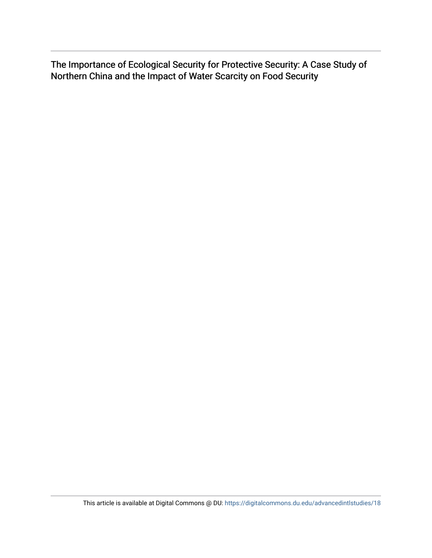The Importance of Ecological Security for Protective Security: A Case Study of Northern China and the Impact of Water Scarcity on Food Security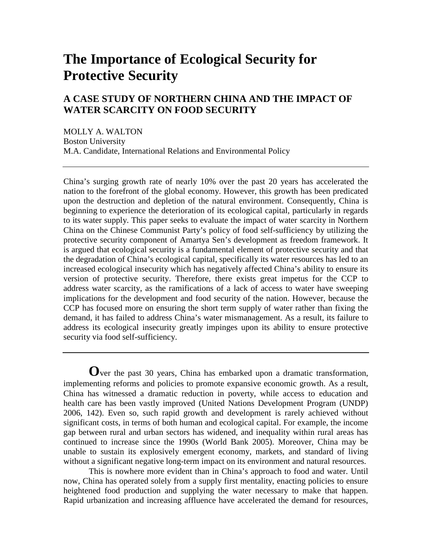## **The Importance of Ecological Security for Protective Security**

## **A CASE STUDY OF NORTHERN CHINA AND THE IMPACT OF WATER SCARCITY ON FOOD SECURITY**

MOLLY A. WALTON Boston University M.A. Candidate, International Relations and Environmental Policy

China's surging growth rate of nearly 10% over the past 20 years has accelerated the nation to the forefront of the global economy. However, this growth has been predicated upon the destruction and depletion of the natural environment. Consequently, China is beginning to experience the deterioration of its ecological capital, particularly in regards to its water supply. This paper seeks to evaluate the impact of water scarcity in Northern China on the Chinese Communist Party's policy of food self-sufficiency by utilizing the protective security component of Amartya Sen's development as freedom framework. It is argued that ecological security is a fundamental element of protective security and that the degradation of China's ecological capital, specifically its water resources has led to an increased ecological insecurity which has negatively affected China's ability to ensure its version of protective security. Therefore, there exists great impetus for the CCP to address water scarcity, as the ramifications of a lack of access to water have sweeping implications for the development and food security of the nation. However, because the CCP has focused more on ensuring the short term supply of water rather than fixing the demand, it has failed to address China's water mismanagement. As a result, its failure to address its ecological insecurity greatly impinges upon its ability to ensure protective security via food self-sufficiency.

**O**ver the past 30 years, China has embarked upon a dramatic transformation, implementing reforms and policies to promote expansive economic growth. As a result, China has witnessed a dramatic reduction in poverty, while access to education and health care has been vastly improved (United Nations Development Program (UNDP) 2006, 142). Even so, such rapid growth and development is rarely achieved without significant costs, in terms of both human and ecological capital. For example, the income gap between rural and urban sectors has widened, and inequality within rural areas has continued to increase since the 1990s (World Bank 2005). Moreover, China may be unable to sustain its explosively emergent economy, markets, and standard of living without a significant negative long-term impact on its environment and natural resources.

This is nowhere more evident than in China's approach to food and water. Until now, China has operated solely from a supply first mentality, enacting policies to ensure heightened food production and supplying the water necessary to make that happen. Rapid urbanization and increasing affluence have accelerated the demand for resources,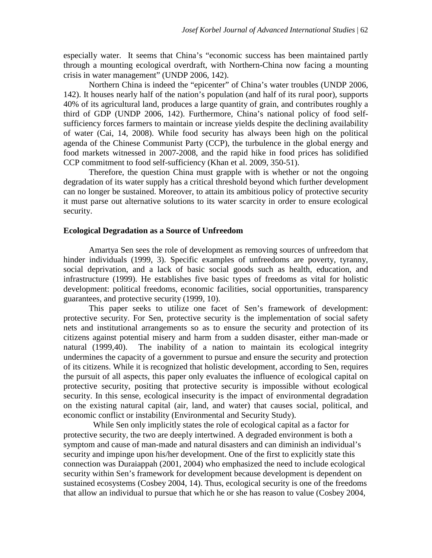especially water. It seems that China's "economic success has been maintained partly through a mounting ecological overdraft, with Northern-China now facing a mounting crisis in water management" (UNDP 2006, 142).

Northern China is indeed the "epicenter" of China's water troubles (UNDP 2006, 142). It houses nearly half of the nation's population (and half of its rural poor), supports 40% of its agricultural land, produces a large quantity of grain, and contributes roughly a third of GDP (UNDP 2006, 142). Furthermore, China's national policy of food selfsufficiency forces farmers to maintain or increase yields despite the declining availability of water (Cai, 14, 2008). While food security has always been high on the political agenda of the Chinese Communist Party (CCP), the turbulence in the global energy and food markets witnessed in 2007-2008, and the rapid hike in food prices has solidified CCP commitment to food self-sufficiency (Khan et al. 2009, 350-51).

Therefore, the question China must grapple with is whether or not the ongoing degradation of its water supply has a critical threshold beyond which further development can no longer be sustained. Moreover, to attain its ambitious policy of protective security it must parse out alternative solutions to its water scarcity in order to ensure ecological security.

#### **Ecological Degradation as a Source of Unfreedom**

Amartya Sen sees the role of development as removing sources of unfreedom that hinder individuals (1999, 3). Specific examples of unfreedoms are poverty, tyranny, social deprivation, and a lack of basic social goods such as health, education, and infrastructure (1999). He establishes five basic types of freedoms as vital for holistic development: political freedoms, economic facilities, social opportunities, transparency guarantees, and protective security (1999, 10).

This paper seeks to utilize one facet of Sen's framework of development: protective security. For Sen, protective security is the implementation of social safety nets and institutional arrangements so as to ensure the security and protection of its citizens against potential misery and harm from a sudden disaster, either man-made or natural (1999,40). The inability of a nation to maintain its ecological integrity undermines the capacity of a government to pursue and ensure the security and protection of its citizens. While it is recognized that holistic development, according to Sen, requires the pursuit of all aspects, this paper only evaluates the influence of ecological capital on protective security, positing that protective security is impossible without ecological security. In this sense, ecological insecurity is the impact of environmental degradation on the existing natural capital (air, land, and water) that causes social, political, and economic conflict or instability (Environmental and Security Study).

 While Sen only implicitly states the role of ecological capital as a factor for protective security, the two are deeply intertwined. A degraded environment is both a symptom and cause of man-made and natural disasters and can diminish an individual's security and impinge upon his/her development. One of the first to explicitly state this connection was Duraiappah (2001, 2004) who emphasized the need to include ecological security within Sen's framework for development because development is dependent on sustained ecosystems (Cosbey 2004, 14). Thus, ecological security is one of the freedoms that allow an individual to pursue that which he or she has reason to value (Cosbey 2004,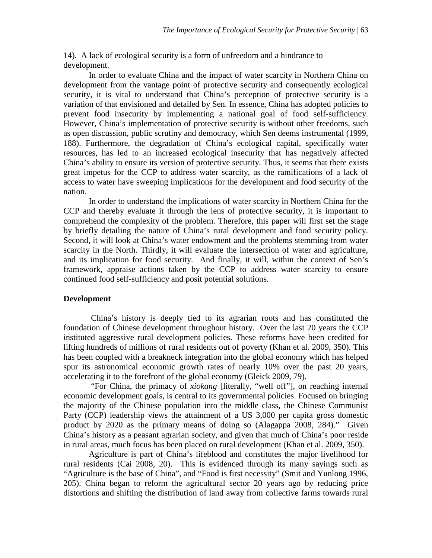14). A lack of ecological security is a form of unfreedom and a hindrance to development.

In order to evaluate China and the impact of water scarcity in Northern China on development from the vantage point of protective security and consequently ecological security, it is vital to understand that China's perception of protective security is a variation of that envisioned and detailed by Sen. In essence, China has adopted policies to prevent food insecurity by implementing a national goal of food self-sufficiency. However, China's implementation of protective security is without other freedoms, such as open discussion, public scrutiny and democracy, which Sen deems instrumental (1999, 188). Furthermore, the degradation of China's ecological capital, specifically water resources, has led to an increased ecological insecurity that has negatively affected China's ability to ensure its version of protective security. Thus, it seems that there exists great impetus for the CCP to address water scarcity, as the ramifications of a lack of access to water have sweeping implications for the development and food security of the nation.

In order to understand the implications of water scarcity in Northern China for the CCP and thereby evaluate it through the lens of protective security, it is important to comprehend the complexity of the problem. Therefore, this paper will first set the stage by briefly detailing the nature of China's rural development and food security policy. Second, it will look at China's water endowment and the problems stemming from water scarcity in the North. Thirdly, it will evaluate the intersection of water and agriculture, and its implication for food security. And finally, it will, within the context of Sen's framework, appraise actions taken by the CCP to address water scarcity to ensure continued food self-sufficiency and posit potential solutions.

#### **Development**

China's history is deeply tied to its agrarian roots and has constituted the foundation of Chinese development throughout history. Over the last 20 years the CCP instituted aggressive rural development policies. These reforms have been credited for lifting hundreds of millions of rural residents out of poverty (Khan et al. 2009, 350). This has been coupled with a breakneck integration into the global economy which has helped spur its astronomical economic growth rates of nearly 10% over the past 20 years, accelerating it to the forefront of the global economy (Gleick 2009, 79).

"For China, the primacy of *xiokang* [literally, "well off"], on reaching internal economic development goals, is central to its governmental policies. Focused on bringing the majority of the Chinese population into the middle class, the Chinese Communist Party (CCP) leadership views the attainment of a US 3,000 per capita gross domestic product by 2020 as the primary means of doing so (Alagappa 2008, 284)." Given China's history as a peasant agrarian society, and given that much of China's poor reside in rural areas, much focus has been placed on rural development (Khan et al. 2009, 350).

Agriculture is part of China's lifeblood and constitutes the major livelihood for rural residents (Cai 2008, 20). This is evidenced through its many sayings such as "Agriculture is the base of China", and "Food is first necessity" (Smit and Yunlong 1996, 205). China began to reform the agricultural sector 20 years ago by reducing price distortions and shifting the distribution of land away from collective farms towards rural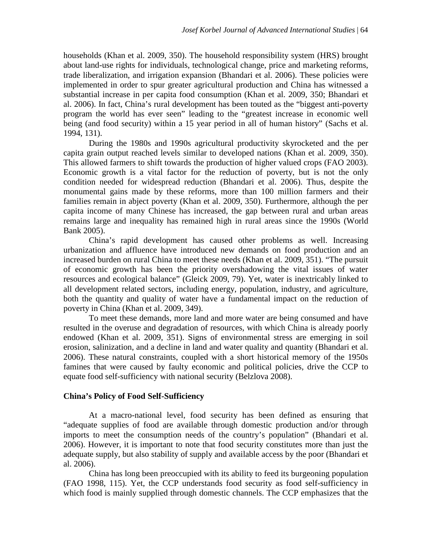households (Khan et al. 2009, 350). The household responsibility system (HRS) brought about land-use rights for individuals, technological change, price and marketing reforms, trade liberalization, and irrigation expansion (Bhandari et al. 2006). These policies were implemented in order to spur greater agricultural production and China has witnessed a substantial increase in per capita food consumption (Khan et al. 2009, 350; Bhandari et al. 2006). In fact, China's rural development has been touted as the "biggest anti-poverty program the world has ever seen" leading to the "greatest increase in economic well being (and food security) within a 15 year period in all of human history" (Sachs et al. 1994, 131).

During the 1980s and 1990s agricultural productivity skyrocketed and the per capita grain output reached levels similar to developed nations (Khan et al. 2009, 350). This allowed farmers to shift towards the production of higher valued crops (FAO 2003). Economic growth is a vital factor for the reduction of poverty, but is not the only condition needed for widespread reduction (Bhandari et al. 2006). Thus, despite the monumental gains made by these reforms, more than 100 million farmers and their families remain in abject poverty (Khan et al. 2009, 350). Furthermore, although the per capita income of many Chinese has increased, the gap between rural and urban areas remains large and inequality has remained high in rural areas since the 1990s (World Bank 2005).

China's rapid development has caused other problems as well. Increasing urbanization and affluence have introduced new demands on food production and an increased burden on rural China to meet these needs (Khan et al. 2009, 351). "The pursuit of economic growth has been the priority overshadowing the vital issues of water resources and ecological balance" (Gleick 2009, 79). Yet, water is inextricably linked to all development related sectors, including energy, population, industry, and agriculture, both the quantity and quality of water have a fundamental impact on the reduction of poverty in China (Khan et al. 2009, 349).

To meet these demands, more land and more water are being consumed and have resulted in the overuse and degradation of resources, with which China is already poorly endowed (Khan et al. 2009, 351). Signs of environmental stress are emerging in soil erosion, salinization, and a decline in land and water quality and quantity (Bhandari et al. 2006). These natural constraints, coupled with a short historical memory of the 1950s famines that were caused by faulty economic and political policies, drive the CCP to equate food self-sufficiency with national security (Belzlova 2008).

#### **China's Policy of Food Self-Sufficiency**

At a macro-national level, food security has been defined as ensuring that "adequate supplies of food are available through domestic production and/or through imports to meet the consumption needs of the country's population" (Bhandari et al. 2006). However, it is important to note that food security constitutes more than just the adequate supply, but also stability of supply and available access by the poor (Bhandari et al. 2006).

China has long been preoccupied with its ability to feed its burgeoning population (FAO 1998, 115). Yet, the CCP understands food security as food self-sufficiency in which food is mainly supplied through domestic channels. The CCP emphasizes that the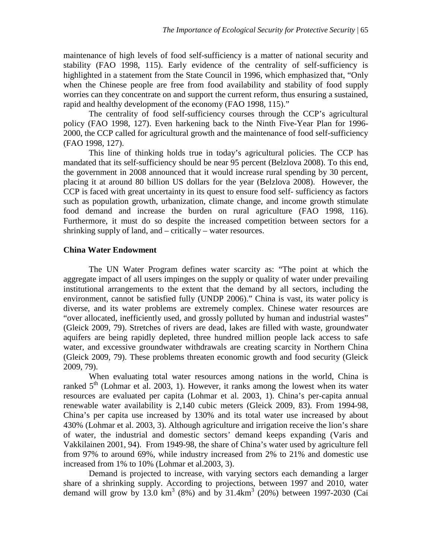maintenance of high levels of food self-sufficiency is a matter of national security and stability (FAO 1998, 115). Early evidence of the centrality of self-sufficiency is highlighted in a statement from the State Council in 1996, which emphasized that, "Only when the Chinese people are free from food availability and stability of food supply worries can they concentrate on and support the current reform, thus ensuring a sustained, rapid and healthy development of the economy (FAO 1998, 115)."

The centrality of food self-sufficiency courses through the CCP's agricultural policy (FAO 1998, 127). Even harkening back to the Ninth Five-Year Plan for 1996- 2000, the CCP called for agricultural growth and the maintenance of food self-sufficiency (FAO 1998, 127).

This line of thinking holds true in today's agricultural policies. The CCP has mandated that its self-sufficiency should be near 95 percent (Belzlova 2008). To this end, the government in 2008 announced that it would increase rural spending by 30 percent, placing it at around 80 billion US dollars for the year (Belzlova 2008). However, the CCP is faced with great uncertainty in its quest to ensure food self- sufficiency as factors such as population growth, urbanization, climate change, and income growth stimulate food demand and increase the burden on rural agriculture (FAO 1998, 116). Furthermore, it must do so despite the increased competition between sectors for a shrinking supply of land, and – critically – water resources.

#### **China Water Endowment**

The UN Water Program defines water scarcity as: "The point at which the aggregate impact of all users impinges on the supply or quality of water under prevailing institutional arrangements to the extent that the demand by all sectors, including the environment, cannot be satisfied fully (UNDP 2006)." China is vast, its water policy is diverse, and its water problems are extremely complex. Chinese water resources are "over allocated, inefficiently used, and grossly polluted by human and industrial wastes" (Gleick 2009, 79). Stretches of rivers are dead, lakes are filled with waste, groundwater aquifers are being rapidly depleted, three hundred million people lack access to safe water, and excessive groundwater withdrawals are creating scarcity in Northern China (Gleick 2009, 79). These problems threaten economic growth and food security (Gleick 2009, 79).

When evaluating total water resources among nations in the world, China is ranked  $5<sup>th</sup>$  (Lohmar et al. 2003, 1). However, it ranks among the lowest when its water resources are evaluated per capita (Lohmar et al. 2003, 1). China's per-capita annual renewable water availability is 2,140 cubic meters (Gleick 2009, 83). From 1994-98, China's per capita use increased by 130% and its total water use increased by about 430% (Lohmar et al. 2003, 3). Although agriculture and irrigation receive the lion's share of water, the industrial and domestic sectors' demand keeps expanding (Varis and Vakkilainen 2001, 94). From 1949-98, the share of China's water used by agriculture fell from 97% to around 69%, while industry increased from 2% to 21% and domestic use increased from 1% to 10% (Lohmar et al.2003, 3).

Demand is projected to increase, with varying sectors each demanding a larger share of a shrinking supply. According to projections, between 1997 and 2010, water demand will grow by  $13.0 \text{ km}^3$  (8%) and by  $31.4 \text{ km}^3$  (20%) between 1997-2030 (Cai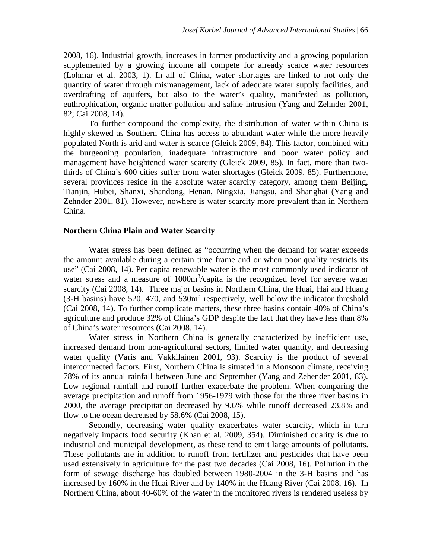2008, 16). Industrial growth, increases in farmer productivity and a growing population supplemented by a growing income all compete for already scarce water resources (Lohmar et al. 2003, 1). In all of China, water shortages are linked to not only the quantity of water through mismanagement, lack of adequate water supply facilities, and overdrafting of aquifers, but also to the water's quality, manifested as pollution, euthrophication, organic matter pollution and saline intrusion (Yang and Zehnder 2001, 82; Cai 2008, 14).

To further compound the complexity, the distribution of water within China is highly skewed as Southern China has access to abundant water while the more heavily populated North is arid and water is scarce (Gleick 2009, 84). This factor, combined with the burgeoning population, inadequate infrastructure and poor water policy and management have heightened water scarcity (Gleick 2009, 85). In fact, more than twothirds of China's 600 cities suffer from water shortages (Gleick 2009, 85). Furthermore, several provinces reside in the absolute water scarcity category, among them Beijing, Tianjin, Hubei, Shanxi, Shandong, Henan, Ningxia, Jiangsu, and Shanghai (Yang and Zehnder 2001, 81). However, nowhere is water scarcity more prevalent than in Northern China.

#### **Northern China Plain and Water Scarcity**

Water stress has been defined as "occurring when the demand for water exceeds the amount available during a certain time frame and or when poor quality restricts its use" (Cai 2008, 14). Per capita renewable water is the most commonly used indicator of water stress and a measure of  $1000m<sup>3</sup>/capita$  is the recognized level for severe water scarcity (Cai 2008, 14). Three major basins in Northern China, the Huai, Hai and Huang  $(3-H)$  basins) have 520, 470, and 530 $m<sup>3</sup>$  respectively, well below the indicator threshold (Cai 2008, 14). To further complicate matters, these three basins contain 40% of China's agriculture and produce 32% of China's GDP despite the fact that they have less than 8% of China's water resources (Cai 2008, 14).

Water stress in Northern China is generally characterized by inefficient use, increased demand from non-agricultural sectors, limited water quantity, and decreasing water quality (Varis and Vakkilainen 2001, 93). Scarcity is the product of several interconnected factors. First, Northern China is situated in a Monsoon climate, receiving 78% of its annual rainfall between June and September (Yang and Zehender 2001, 83). Low regional rainfall and runoff further exacerbate the problem. When comparing the average precipitation and runoff from 1956-1979 with those for the three river basins in 2000, the average precipitation decreased by 9.6% while runoff decreased 23.8% and flow to the ocean decreased by 58.6% (Cai 2008, 15).

Secondly, decreasing water quality exacerbates water scarcity, which in turn negatively impacts food security (Khan et al. 2009, 354). Diminished quality is due to industrial and municipal development, as these tend to emit large amounts of pollutants. These pollutants are in addition to runoff from fertilizer and pesticides that have been used extensively in agriculture for the past two decades (Cai 2008, 16). Pollution in the form of sewage discharge has doubled between 1980-2004 in the 3-H basins and has increased by 160% in the Huai River and by 140% in the Huang River (Cai 2008, 16). In Northern China, about 40-60% of the water in the monitored rivers is rendered useless by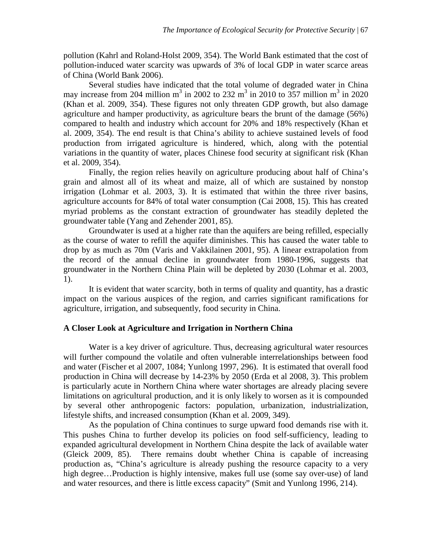pollution (Kahrl and Roland-Holst 2009, 354). The World Bank estimated that the cost of pollution-induced water scarcity was upwards of 3% of local GDP in water scarce areas of China (World Bank 2006).

Several studies have indicated that the total volume of degraded water in China may increase from 204 million  $m^3$  in 2002 to 232  $m^3$  in 2010 to 357 million  $m^3$  in 2020 (Khan et al. 2009, 354). These figures not only threaten GDP growth, but also damage agriculture and hamper productivity, as agriculture bears the brunt of the damage (56%) compared to health and industry which account for 20% and 18% respectively (Khan et al. 2009, 354). The end result is that China's ability to achieve sustained levels of food production from irrigated agriculture is hindered, which, along with the potential variations in the quantity of water, places Chinese food security at significant risk (Khan et al. 2009, 354).

Finally, the region relies heavily on agriculture producing about half of China's grain and almost all of its wheat and maize, all of which are sustained by nonstop irrigation (Lohmar et al. 2003, 3). It is estimated that within the three river basins, agriculture accounts for 84% of total water consumption (Cai 2008, 15). This has created myriad problems as the constant extraction of groundwater has steadily depleted the groundwater table (Yang and Zehender 2001, 85).

Groundwater is used at a higher rate than the aquifers are being refilled, especially as the course of water to refill the aquifer diminishes. This has caused the water table to drop by as much as 70m (Varis and Vakkilainen 2001, 95). A linear extrapolation from the record of the annual decline in groundwater from 1980-1996, suggests that groundwater in the Northern China Plain will be depleted by 2030 (Lohmar et al. 2003, 1).

It is evident that water scarcity, both in terms of quality and quantity, has a drastic impact on the various auspices of the region, and carries significant ramifications for agriculture, irrigation, and subsequently, food security in China.

### **A Closer Look at Agriculture and Irrigation in Northern China**

Water is a key driver of agriculture. Thus, decreasing agricultural water resources will further compound the volatile and often vulnerable interrelationships between food and water (Fischer et al 2007, 1084; Yunlong 1997, 296). It is estimated that overall food production in China will decrease by 14-23% by 2050 (Erda et al 2008, 3). This problem is particularly acute in Northern China where water shortages are already placing severe limitations on agricultural production, and it is only likely to worsen as it is compounded by several other anthropogenic factors: population, urbanization, industrialization, lifestyle shifts, and increased consumption (Khan et al. 2009, 349).

As the population of China continues to surge upward food demands rise with it. This pushes China to further develop its policies on food self-sufficiency, leading to expanded agricultural development in Northern China despite the lack of available water (Gleick 2009, 85). There remains doubt whether China is capable of increasing production as, "China's agriculture is already pushing the resource capacity to a very high degree…Production is highly intensive, makes full use (some say over-use) of land and water resources, and there is little excess capacity" (Smit and Yunlong 1996, 214).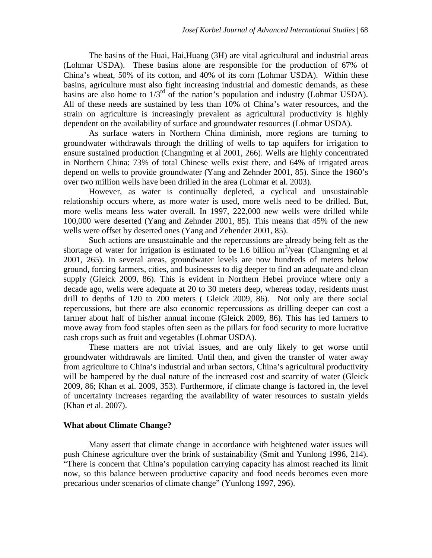The basins of the Huai, Hai,Huang (3H) are vital agricultural and industrial areas (Lohmar USDA). These basins alone are responsible for the production of 67% of China's wheat, 50% of its cotton, and 40% of its corn (Lohmar USDA). Within these basins, agriculture must also fight increasing industrial and domestic demands, as these basins are also home to  $1/3^{rd}$  of the nation's population and industry (Lohmar USDA). All of these needs are sustained by less than 10% of China's water resources, and the strain on agriculture is increasingly prevalent as agricultural productivity is highly dependent on the availability of surface and groundwater resources (Lohmar USDA).

As surface waters in Northern China diminish, more regions are turning to groundwater withdrawals through the drilling of wells to tap aquifers for irrigation to ensure sustained production (Changming et al 2001, 266). Wells are highly concentrated in Northern China: 73% of total Chinese wells exist there, and 64% of irrigated areas depend on wells to provide groundwater (Yang and Zehnder 2001, 85). Since the 1960's over two million wells have been drilled in the area (Lohmar et al. 2003).

However, as water is continually depleted, a cyclical and unsustainable relationship occurs where, as more water is used, more wells need to be drilled. But, more wells means less water overall. In 1997, 222,000 new wells were drilled while 100,000 were deserted (Yang and Zehnder 2001, 85). This means that 45% of the new wells were offset by deserted ones (Yang and Zehender 2001, 85).

Such actions are unsustainable and the repercussions are already being felt as the shortage of water for irrigation is estimated to be 1.6 billion  $m^3$ /year (Changming et al 2001, 265). In several areas, groundwater levels are now hundreds of meters below ground, forcing farmers, cities, and businesses to dig deeper to find an adequate and clean supply (Gleick 2009, 86). This is evident in Northern Hebei province where only a decade ago, wells were adequate at 20 to 30 meters deep, whereas today, residents must drill to depths of 120 to 200 meters ( Gleick 2009, 86). Not only are there social repercussions, but there are also economic repercussions as drilling deeper can cost a farmer about half of his/her annual income (Gleick 2009, 86). This has led farmers to move away from food staples often seen as the pillars for food security to more lucrative cash crops such as fruit and vegetables (Lohmar USDA).

These matters are not trivial issues, and are only likely to get worse until groundwater withdrawals are limited. Until then, and given the transfer of water away from agriculture to China's industrial and urban sectors, China's agricultural productivity will be hampered by the dual nature of the increased cost and scarcity of water (Gleick 2009, 86; Khan et al. 2009, 353). Furthermore, if climate change is factored in, the level of uncertainty increases regarding the availability of water resources to sustain yields (Khan et al. 2007).

#### **What about Climate Change?**

Many assert that climate change in accordance with heightened water issues will push Chinese agriculture over the brink of sustainability (Smit and Yunlong 1996, 214). "There is concern that China's population carrying capacity has almost reached its limit now, so this balance between productive capacity and food needs becomes even more precarious under scenarios of climate change" (Yunlong 1997, 296).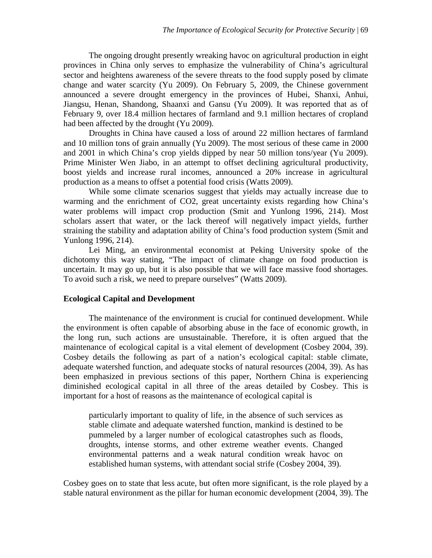The ongoing drought presently wreaking havoc on agricultural production in eight provinces in China only serves to emphasize the vulnerability of China's agricultural sector and heightens awareness of the severe threats to the food supply posed by climate change and water scarcity (Yu 2009). On February 5, 2009, the Chinese government announced a severe drought emergency in the provinces of Hubei, Shanxi, Anhui, Jiangsu, Henan, Shandong, Shaanxi and Gansu (Yu 2009). It was reported that as of February 9, over 18.4 million hectares of farmland and 9.1 million hectares of cropland had been affected by the drought (Yu 2009).

Droughts in China have caused a loss of around 22 million hectares of farmland and 10 million tons of grain annually (Yu 2009). The most serious of these came in 2000 and 2001 in which China's crop yields dipped by near 50 million tons/year (Yu 2009). Prime Minister Wen Jiabo, in an attempt to offset declining agricultural productivity, boost yields and increase rural incomes, announced a 20% increase in agricultural production as a means to offset a potential food crisis (Watts 2009).

While some climate scenarios suggest that yields may actually increase due to warming and the enrichment of CO2, great uncertainty exists regarding how China's water problems will impact crop production (Smit and Yunlong 1996, 214). Most scholars assert that water, or the lack thereof will negatively impact yields, further straining the stability and adaptation ability of China's food production system (Smit and Yunlong 1996, 214).

Lei Ming, an environmental economist at Peking University spoke of the dichotomy this way stating, "The impact of climate change on food production is uncertain. It may go up, but it is also possible that we will face massive food shortages. To avoid such a risk, we need to prepare ourselves" (Watts 2009).

#### **Ecological Capital and Development**

The maintenance of the environment is crucial for continued development. While the environment is often capable of absorbing abuse in the face of economic growth, in the long run, such actions are unsustainable. Therefore, it is often argued that the maintenance of ecological capital is a vital element of development (Cosbey 2004, 39). Cosbey details the following as part of a nation's ecological capital: stable climate, adequate watershed function, and adequate stocks of natural resources (2004, 39). As has been emphasized in previous sections of this paper, Northern China is experiencing diminished ecological capital in all three of the areas detailed by Cosbey. This is important for a host of reasons as the maintenance of ecological capital is

particularly important to quality of life, in the absence of such services as stable climate and adequate watershed function, mankind is destined to be pummeled by a larger number of ecological catastrophes such as floods, droughts, intense storms, and other extreme weather events. Changed environmental patterns and a weak natural condition wreak havoc on established human systems, with attendant social strife (Cosbey 2004, 39).

Cosbey goes on to state that less acute, but often more significant, is the role played by a stable natural environment as the pillar for human economic development (2004, 39). The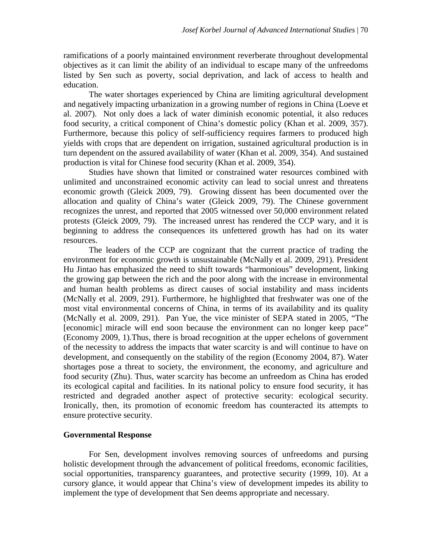ramifications of a poorly maintained environment reverberate throughout developmental objectives as it can limit the ability of an individual to escape many of the unfreedoms listed by Sen such as poverty, social deprivation, and lack of access to health and education.

The water shortages experienced by China are limiting agricultural development and negatively impacting urbanization in a growing number of regions in China (Loeve et al. 2007). Not only does a lack of water diminish economic potential, it also reduces food security, a critical component of China's domestic policy (Khan et al. 2009, 357). Furthermore, because this policy of self-sufficiency requires farmers to produced high yields with crops that are dependent on irrigation, sustained agricultural production is in turn dependent on the assured availability of water (Khan et al. 2009, 354). And sustained production is vital for Chinese food security (Khan et al. 2009, 354).

Studies have shown that limited or constrained water resources combined with unlimited and unconstrained economic activity can lead to social unrest and threatens economic growth (Gleick 2009, 79). Growing dissent has been documented over the allocation and quality of China's water (Gleick 2009, 79). The Chinese government recognizes the unrest, and reported that 2005 witnessed over 50,000 environment related protests (Gleick 2009, 79). The increased unrest has rendered the CCP wary, and it is beginning to address the consequences its unfettered growth has had on its water resources.

The leaders of the CCP are cognizant that the current practice of trading the environment for economic growth is unsustainable (McNally et al. 2009, 291). President Hu Jintao has emphasized the need to shift towards "harmonious" development, linking the growing gap between the rich and the poor along with the increase in environmental and human health problems as direct causes of social instability and mass incidents (McNally et al. 2009, 291). Furthermore, he highlighted that freshwater was one of the most vital environmental concerns of China, in terms of its availability and its quality (McNally et al. 2009, 291). Pan Yue, the vice minister of SEPA stated in 2005, "The [economic] miracle will end soon because the environment can no longer keep pace" (Economy 2009, 1).Thus, there is broad recognition at the upper echelons of government of the necessity to address the impacts that water scarcity is and will continue to have on development, and consequently on the stability of the region (Economy 2004, 87). Water shortages pose a threat to society, the environment, the economy, and agriculture and food security (Zhu). Thus, water scarcity has become an unfreedom as China has eroded its ecological capital and facilities. In its national policy to ensure food security, it has restricted and degraded another aspect of protective security: ecological security. Ironically, then, its promotion of economic freedom has counteracted its attempts to ensure protective security.

#### **Governmental Response**

For Sen, development involves removing sources of unfreedoms and pursing holistic development through the advancement of political freedoms, economic facilities, social opportunities, transparency guarantees, and protective security (1999, 10). At a cursory glance, it would appear that China's view of development impedes its ability to implement the type of development that Sen deems appropriate and necessary.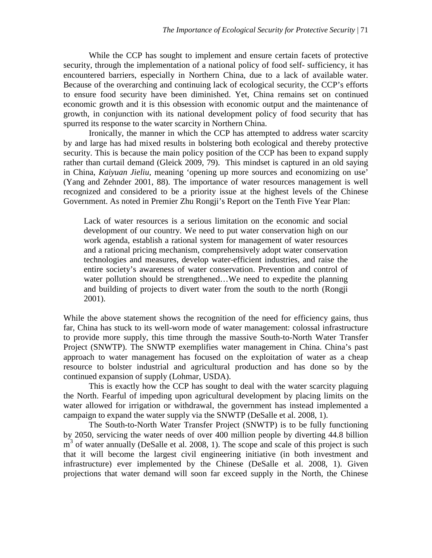While the CCP has sought to implement and ensure certain facets of protective security, through the implementation of a national policy of food self- sufficiency, it has encountered barriers, especially in Northern China, due to a lack of available water. Because of the overarching and continuing lack of ecological security, the CCP's efforts to ensure food security have been diminished. Yet, China remains set on continued economic growth and it is this obsession with economic output and the maintenance of growth, in conjunction with its national development policy of food security that has spurred its response to the water scarcity in Northern China.

Ironically, the manner in which the CCP has attempted to address water scarcity by and large has had mixed results in bolstering both ecological and thereby protective security. This is because the main policy position of the CCP has been to expand supply rather than curtail demand (Gleick 2009, 79). This mindset is captured in an old saying in China, *Kaiyuan Jieliu*, meaning 'opening up more sources and economizing on use' (Yang and Zehnder 2001, 88). The importance of water resources management is well recognized and considered to be a priority issue at the highest levels of the Chinese Government. As noted in Premier Zhu Rongji's Report on the Tenth Five Year Plan:

Lack of water resources is a serious limitation on the economic and social development of our country. We need to put water conservation high on our work agenda, establish a rational system for management of water resources and a rational pricing mechanism, comprehensively adopt water conservation technologies and measures, develop water-efficient industries, and raise the entire society's awareness of water conservation. Prevention and control of water pollution should be strengthened…We need to expedite the planning and building of projects to divert water from the south to the north (Rongji 2001).

While the above statement shows the recognition of the need for efficiency gains, thus far, China has stuck to its well-worn mode of water management: colossal infrastructure to provide more supply, this time through the massive South-to-North Water Transfer Project (SNWTP). The SNWTP exemplifies water management in China. China's past approach to water management has focused on the exploitation of water as a cheap resource to bolster industrial and agricultural production and has done so by the continued expansion of supply (Lohmar, USDA).

This is exactly how the CCP has sought to deal with the water scarcity plaguing the North. Fearful of impeding upon agricultural development by placing limits on the water allowed for irrigation or withdrawal, the government has instead implemented a campaign to expand the water supply via the SNWTP (DeSalle et al. 2008, 1).

The South-to-North Water Transfer Project (SNWTP) is to be fully functioning by 2050, servicing the water needs of over 400 million people by diverting 44.8 billion  $m<sup>3</sup>$  of water annually (DeSalle et al. 2008, 1). The scope and scale of this project is such that it will become the largest civil engineering initiative (in both investment and infrastructure) ever implemented by the Chinese (DeSalle et al. 2008, 1). Given projections that water demand will soon far exceed supply in the North, the Chinese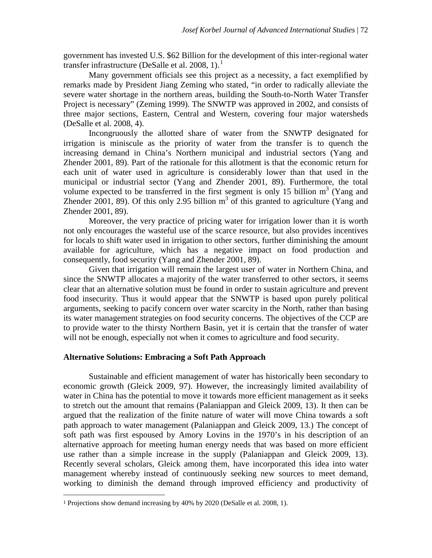government has invested U.S. \$62 Billion for the development of this inter-regional water transfer infrastructure (DeSalle et al. 2008, [1](#page-13-0)).<sup>1</sup>

Many government officials see this project as a necessity, a fact exemplified by remarks made by President Jiang Zeming who stated, "in order to radically alleviate the severe water shortage in the northern areas, building the South-to-North Water Transfer Project is necessary" (Zeming 1999). The SNWTP was approved in 2002, and consists of three major sections, Eastern, Central and Western, covering four major watersheds (DeSalle et al. 2008, 4).

Incongruously the allotted share of water from the SNWTP designated for irrigation is miniscule as the priority of water from the transfer is to quench the increasing demand in China's Northern municipal and industrial sectors (Yang and Zhender 2001, 89). Part of the rationale for this allotment is that the economic return for each unit of water used in agriculture is considerably lower than that used in the municipal or industrial sector (Yang and Zhender 2001, 89). Furthermore, the total volume expected to be transferred in the first segment is only 15 billion  $m<sup>3</sup>$  (Yang and Zhender 2001, 89). Of this only 2.95 billion  $m<sup>3</sup>$  of this granted to agriculture (Yang and Zhender 2001, 89).

Moreover, the very practice of pricing water for irrigation lower than it is worth not only encourages the wasteful use of the scarce resource, but also provides incentives for locals to shift water used in irrigation to other sectors, further diminishing the amount available for agriculture, which has a negative impact on food production and consequently, food security (Yang and Zhender 2001, 89).

Given that irrigation will remain the largest user of water in Northern China, and since the SNWTP allocates a majority of the water transferred to other sectors, it seems clear that an alternative solution must be found in order to sustain agriculture and prevent food insecurity. Thus it would appear that the SNWTP is based upon purely political arguments, seeking to pacify concern over water scarcity in the North, rather than basing its water management strategies on food security concerns. The objectives of the CCP are to provide water to the thirsty Northern Basin, yet it is certain that the transfer of water will not be enough, especially not when it comes to agriculture and food security.

#### **Alternative Solutions: Embracing a Soft Path Approach**

Sustainable and efficient management of water has historically been secondary to economic growth (Gleick 2009, 97). However, the increasingly limited availability of water in China has the potential to move it towards more efficient management as it seeks to stretch out the amount that remains (Palaniappan and Gleick 2009, 13). It then can be argued that the realization of the finite nature of water will move China towards a soft path approach to water management (Palaniappan and Gleick 2009, 13.) The concept of soft path was first espoused by Amory Lovins in the 1970's in his description of an alternative approach for meeting human energy needs that was based on more efficient use rather than a simple increase in the supply (Palaniappan and Gleick 2009, 13). Recently several scholars, Gleick among them, have incorporated this idea into water management whereby instead of continuously seeking new sources to meet demand, working to diminish the demand through improved efficiency and productivity of

 $\overline{a}$ 

<span id="page-13-0"></span><sup>1</sup> Projections show demand increasing by 40% by 2020 (DeSalle et al. 2008, 1).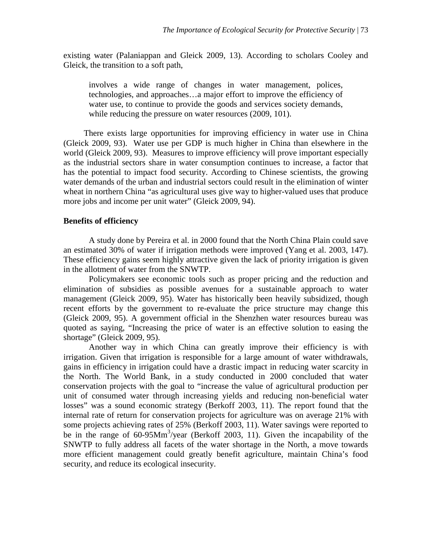existing water (Palaniappan and Gleick 2009, 13). According to scholars Cooley and Gleick, the transition to a soft path,

involves a wide range of changes in water management, polices, technologies, and approaches…a major effort to improve the efficiency of water use, to continue to provide the goods and services society demands, while reducing the pressure on water resources (2009, 101).

There exists large opportunities for improving efficiency in water use in China (Gleick 2009, 93). Water use per GDP is much higher in China than elsewhere in the world (Gleick 2009, 93). Measures to improve efficiency will prove important especially as the industrial sectors share in water consumption continues to increase, a factor that has the potential to impact food security. According to Chinese scientists, the growing water demands of the urban and industrial sectors could result in the elimination of winter wheat in northern China "as agricultural uses give way to higher-valued uses that produce more jobs and income per unit water" (Gleick 2009, 94).

#### **Benefits of efficiency**

A study done by Pereira et al. in 2000 found that the North China Plain could save an estimated 30% of water if irrigation methods were improved (Yang et al. 2003, 147). These efficiency gains seem highly attractive given the lack of priority irrigation is given in the allotment of water from the SNWTP.

Policymakers see economic tools such as proper pricing and the reduction and elimination of subsidies as possible avenues for a sustainable approach to water management (Gleick 2009, 95). Water has historically been heavily subsidized, though recent efforts by the government to re-evaluate the price structure may change this (Gleick 2009, 95). A government official in the Shenzhen water resources bureau was quoted as saying, "Increasing the price of water is an effective solution to easing the shortage" (Gleick 2009, 95).

Another way in which China can greatly improve their efficiency is with irrigation. Given that irrigation is responsible for a large amount of water withdrawals, gains in efficiency in irrigation could have a drastic impact in reducing water scarcity in the North. The World Bank, in a study conducted in 2000 concluded that water conservation projects with the goal to "increase the value of agricultural production per unit of consumed water through increasing yields and reducing non-beneficial water losses" was a sound economic strategy (Berkoff 2003, 11). The report found that the internal rate of return for conservation projects for agriculture was on average 21% with some projects achieving rates of 25% (Berkoff 2003, 11). Water savings were reported to be in the range of 60-95Mm<sup>3</sup>/year (Berkoff 2003, 11). Given the incapability of the SNWTP to fully address all facets of the water shortage in the North, a move towards more efficient management could greatly benefit agriculture, maintain China's food security, and reduce its ecological insecurity.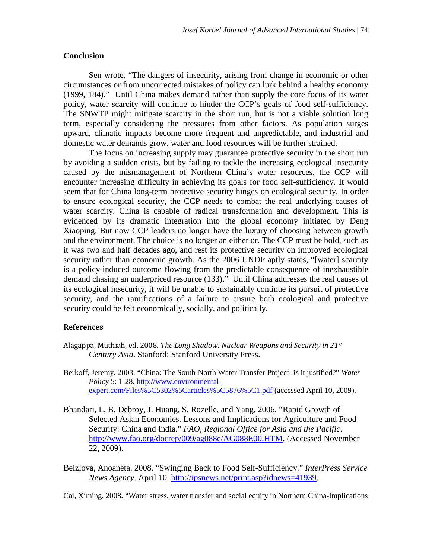#### **Conclusion**

Sen wrote, "The dangers of insecurity, arising from change in economic or other circumstances or from uncorrected mistakes of policy can lurk behind a healthy economy (1999, 184)." Until China makes demand rather than supply the core focus of its water policy, water scarcity will continue to hinder the CCP's goals of food self-sufficiency. The SNWTP might mitigate scarcity in the short run, but is not a viable solution long term, especially considering the pressures from other factors. As population surges upward, climatic impacts become more frequent and unpredictable, and industrial and domestic water demands grow, water and food resources will be further strained.

The focus on increasing supply may guarantee protective security in the short run by avoiding a sudden crisis, but by failing to tackle the increasing ecological insecurity caused by the mismanagement of Northern China's water resources, the CCP will encounter increasing difficulty in achieving its goals for food self-sufficiency. It would seem that for China long-term protective security hinges on ecological security. In order to ensure ecological security, the CCP needs to combat the real underlying causes of water scarcity. China is capable of radical transformation and development. This is evidenced by its dramatic integration into the global economy initiated by Deng Xiaoping. But now CCP leaders no longer have the luxury of choosing between growth and the environment. The choice is no longer an either or. The CCP must be bold, such as it was two and half decades ago, and rest its protective security on improved ecological security rather than economic growth. As the 2006 UNDP aptly states, "[water] scarcity is a policy-induced outcome flowing from the predictable consequence of inexhaustible demand chasing an underpriced resource (133)." Until China addresses the real causes of its ecological insecurity, it will be unable to sustainably continue its pursuit of protective security, and the ramifications of a failure to ensure both ecological and protective security could be felt economically, socially, and politically.

#### **References**

- Alagappa, Muthiah, ed. 2008. *The Long Shadow: Nuclear Weapons and Security in 21st Century Asia*. Stanford: Stanford University Press.
- Berkoff, Jeremy. 2003. "China: The South-North Water Transfer Project- is it justified?" *Water Policy* 5: 1-28. [http://www.environmental](http://www.environmental-expert.com/Files%5C5302%5Carticles%5C5876%5C1.pdf)[expert.com/Files%5C5302%5Carticles%5C5876%5C1.pdf](http://www.environmental-expert.com/Files%5C5302%5Carticles%5C5876%5C1.pdf) (accessed April 10, 2009).
- Bhandari, L, B. Debroy, J. Huang, S. Rozelle, and Yang. 2006. "Rapid Growth of Selected Asian Economies. Lessons and Implications for Agriculture and Food Security: China and India." *FAO, Regional Office for Asia and the Pacific*. [http://www.fao.org/docrep/009/ag088e/AG088E00.HTM.](http://www.fao.org/docrep/009/ag088e/AG088E00.HTM) (Accessed November 22, 2009).
- Belzlova, Anoaneta. 2008. "Swinging Back to Food Self-Sufficiency." *InterPress Service News Agency*. April 10. [http://ipsnews.net/print.asp?idnews=41939.](http://ipsnews.net/print.asp?idnews=41939)

Cai, Ximing. 2008. "Water stress, water transfer and social equity in Northern China-Implications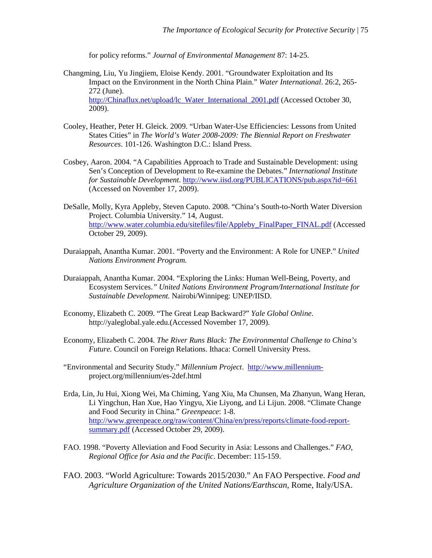for policy reforms." *Journal of Environmental Management* 87: 14-25.

- Changming, Liu, Yu Jingjiem, Eloise Kendy. 2001. "Groundwater Exploitation and Its Impact on the Environment in the North China Plain." *Water International*. 26:2, 265- 272 (June). [http://Chinaflux.net/upload/lc\\_Water\\_International\\_2001.pdf](http://chinaflux.net/upload/lc_Water_International_2001.pdf) (Accessed October 30, 2009).
- Cooley, Heather, Peter H. Gleick. 2009. "Urban Water-Use Efficiencies: Lessons from United States Cities" in *The World's Water 2008-2009: The Biennial Report on Freshwater Resources*. 101-126. Washington D.C.: Island Press.
- Cosbey, Aaron. 2004. "A Capabilities Approach to Trade and Sustainable Development: using Sen's Conception of Development to Re-examine the Debates." *International Institute for Sustainable Development*.<http://www.iisd.org/PUBLICATIONS/pub.aspx?id=661> (Accessed on November 17, 2009).
- DeSalle, Molly, Kyra Appleby, Steven Caputo. 2008. "China's South-to-North Water Diversion Project. Columbia University." 14, August. [http://www.water.columbia.edu/sitefiles/file/Appleby\\_FinalPaper\\_FINAL.pdf](http://www.water.columbia.edu/sitefiles/file/Appleby_FinalPaper_FINAL.pdf) (Accessed October 29, 2009).
- Duraiappah, Anantha Kumar. 2001. "Poverty and the Environment: A Role for UNEP." *United Nations Environment Program.*
- Duraiappah, Anantha Kumar. 2004. "Exploring the Links: Human Well-Being, Poverty, and Ecosystem Services.*" United Nations Environment Program/International Institute for Sustainable Development.* Nairobi/Winnipeg: UNEP/IISD.
- Economy, Elizabeth C. 2009. "The Great Leap Backward?" *Yale Global Online*. http://yaleglobal.yale.edu.(Accessed November 17, 2009).
- Economy, Elizabeth C. 2004. *The River Runs Black: The Environmental Challenge to China's Future.* Council on Foreign Relations. Ithaca: Cornell University Press.
- "Environmental and Security Study." *Millennium Project*. [http://www.millennium](http://www.millennium-/)project.org/millennium/es-2def.html
- Erda, Lin, Ju Hui, Xiong Wei, Ma Chiming, Yang Xiu, Ma Chunsen, Ma Zhanyun, Wang Heran, Li Yingchun, Han Xue, Hao Yingyu, Xie Liyong, and Li Lijun. 2008. "Climate Change and Food Security in China." *Greenpeace*: 1-8. [http://www.greenpeace.org/raw/content/China/en/press/reports/climate-food-report](http://www.greenpeace.org/raw/content/china/en/press/reports/climate-food-report-summary.pdf)[summary.pdf](http://www.greenpeace.org/raw/content/china/en/press/reports/climate-food-report-summary.pdf) (Accessed October 29, 2009).
- FAO. 1998. "Poverty Alleviation and Food Security in Asia: Lessons and Challenges." *FAO, Regional Office for Asia and the Pacific*. December: 115-159.
- FAO. 2003. "World Agriculture: Towards 2015/2030." An FAO Perspective. *Food and Agriculture Organization of the United Nations/Earthscan*, Rome, Italy/USA.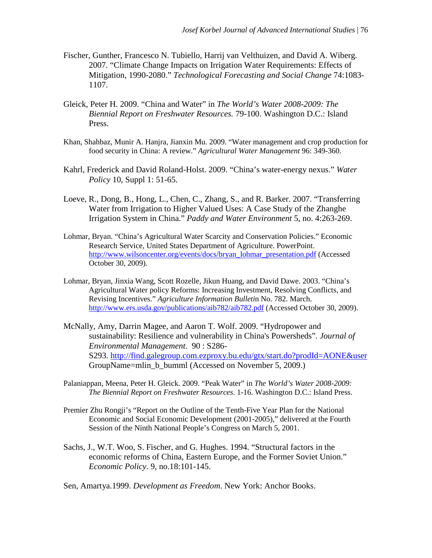- Fischer, Gunther, Francesco N. Tubiello, Harrij van Velthuizen, and David A. Wiberg. 2007. "Climate Change Impacts on Irrigation Water Requirements: Effects of Mitigation, 1990-2080." *Technological Forecasting and Social Change* 74:1083- 1107.
- Gleick, Peter H. 2009. "China and Water" in *The World's Water 2008-2009: The Biennial Report on Freshwater Resources.* 79-100. Washington D.C.: Island Press.
- Khan, Shahbaz, Munir A. Hanjra, Jianxin Mu. 2009. "Water management and crop production for food security in China: A review." *Agricultural Water Management* 96: 349-360.
- Kahrl, Frederick and David Roland-Holst. 2009. "China's water-energy nexus." *Water Policy* 10, Suppl 1: 51-65.
- Loeve, R., Dong, B., Hong, L., Chen, C., Zhang, S., and R. Barker. 2007. "Transferring Water from Irrigation to Higher Valued Uses: A Case Study of the Zhanghe Irrigation System in China." *Paddy and Water Environment* 5, no. 4:263-269.
- Lohmar, Bryan. "China's Agricultural Water Scarcity and Conservation Policies." Economic Research Service, United States Department of Agriculture. PowerPoint. [http://www.wilsoncenter.org/events/docs/bryan\\_lohmar\\_presentation.pdf](http://www.wilsoncenter.org/events/docs/bryan_lohmar_presentation.pdf) (Accessed October 30, 2009).
- Lohmar, Bryan, Jinxia Wang, Scott Rozelle, Jikun Huang, and David Dawe. 2003. "China's Agricultural Water policy Reforms: Increasing Investment, Resolving Conflicts, and Revising Incentives." *Agriculture Information Bulleti*n No. 782. March. <http://www.ers.usda.gov/publications/aib782/aib782.pdf> (Accessed October 30, 2009).
- McNally, Amy, Darrin Magee, and Aaron T. Wolf. 2009. "Hydropower and sustainability: Resilience and vulnerability in China's Powersheds"*. Journal of Environmental Management*. 90 : S286- S293. <http://find.galegroup.com.ezproxy.bu.edu/gtx/start.do?prodId=AONE&user> GroupName=mlin\_b\_bumml (Accessed on November 5, 2009.)
- Palaniappan, Meena, Peter H. Gleick. 2009. "Peak Water" in *The World's Water 2008-2009: The Biennial Report on Freshwater Resources*. 1-16. Washington D.C.: Island Press.
- Premier Zhu Rongji's "Report on the Outline of the Tenth-Five Year Plan for the National Economic and Social Economic Development (2001-2005)," delivered at the Fourth Session of the Ninth National People's Congress on March 5, 2001.
- Sachs, J., W.T. Woo, S. Fischer, and G. Hughes. 1994. "Structural factors in the economic reforms of China, Eastern Europe, and the Former Soviet Union." *Economic Policy*. 9, no.18:101-145.

Sen, Amartya.1999. *Development as Freedom*. New York: Anchor Books.